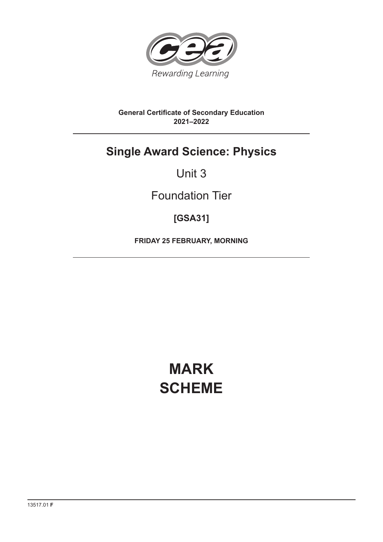

#### **General Certificate of Secondary Education 2021–2022**

## **Single Award Science: Physics**

## Unit 3

## Foundation Tier

## **[GSA31]**

**FRIDAY 25 FEBRUARY, MORNING**

# **MARK SCHEME**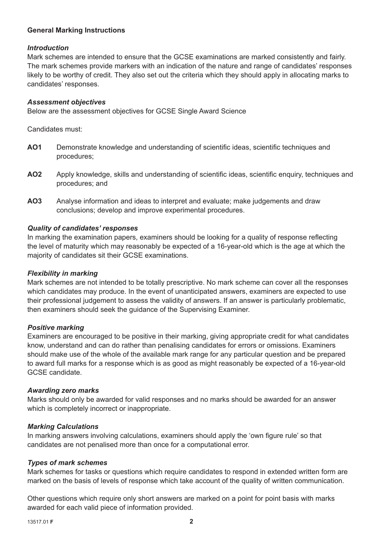#### **General Marking Instructions**

#### *Introduction*

Mark schemes are intended to ensure that the GCSE examinations are marked consistently and fairly. The mark schemes provide markers with an indication of the nature and range of candidates' responses likely to be worthy of credit. They also set out the criteria which they should apply in allocating marks to candidates' responses.

#### *Assessment objectives*

Below are the assessment objectives for GCSE Single Award Science

Candidates must:

- AO1 Demonstrate knowledge and understanding of scientific ideas, scientific techniques and procedures;
- AO2 Apply knowledge, skills and understanding of scientific ideas, scientific enquiry, techniques and procedures; and
- **AO3** Analyse information and ideas to interpret and evaluate; make judgements and draw conclusions; develop and improve experimental procedures.

#### *Quality of candidates' responses*

In marking the examination papers, examiners should be looking for a quality of response reflecting the level of maturity which may reasonably be expected of a 16-year-old which is the age at which the majority of candidates sit their GCSE examinations.

#### *Flexibility in marking*

Mark schemes are not intended to be totally prescriptive. No mark scheme can cover all the responses which candidates may produce. In the event of unanticipated answers, examiners are expected to use their professional judgement to assess the validity of answers. If an answer is particularly problematic, then examiners should seek the guidance of the Supervising Examiner.

#### *Positive marking*

Examiners are encouraged to be positive in their marking, giving appropriate credit for what candidates know, understand and can do rather than penalising candidates for errors or omissions. Examiners should make use of the whole of the available mark range for any particular question and be prepared to award full marks for a response which is as good as might reasonably be expected of a 16-year-old GCSE candidate.

#### *Awarding zero marks*

Marks should only be awarded for valid responses and no marks should be awarded for an answer which is completely incorrect or inappropriate.

#### *Marking Calculations*

In marking answers involving calculations, examiners should apply the 'own figure rule' so that candidates are not penalised more than once for a computational error.

#### *Types of mark schemes*

Mark schemes for tasks or questions which require candidates to respond in extended written form are marked on the basis of levels of response which take account of the quality of written communication.

Other questions which require only short answers are marked on a point for point basis with marks awarded for each valid piece of information provided.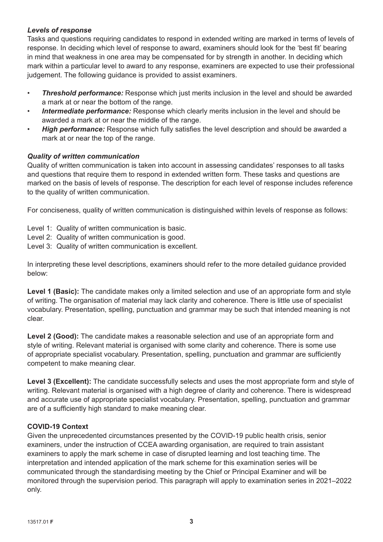#### *Levels of response*

Tasks and questions requiring candidates to respond in extended writing are marked in terms of levels of response. In deciding which level of response to award, examiners should look for the 'best fit' bearing in mind that weakness in one area may be compensated for by strength in another. In deciding which mark within a particular level to award to any response, examiners are expected to use their professional judgement. The following guidance is provided to assist examiners.

- *Threshold performance:* Response which just merits inclusion in the level and should be awarded a mark at or near the bottom of the range.
- **Intermediate performance:** Response which clearly merits inclusion in the level and should be awarded a mark at or near the middle of the range.
- **High performance:** Response which fully satisfies the level description and should be awarded a mark at or near the top of the range.

#### *Quality of written communication*

Quality of written communication is taken into account in assessing candidates' responses to all tasks and questions that require them to respond in extended written form. These tasks and questions are marked on the basis of levels of response. The description for each level of response includes reference to the quality of written communication.

For conciseness, quality of written communication is distinguished within levels of response as follows:

- Level 1: Quality of written communication is basic.
- Level 2: Quality of written communication is good.
- Level 3: Quality of written communication is excellent.

In interpreting these level descriptions, examiners should refer to the more detailed guidance provided below:

Level 1 (Basic): The candidate makes only a limited selection and use of an appropriate form and style of writing. The organisation of material may lack clarity and coherence. There is little use of specialist vocabulary. Presentation, spelling, punctuation and grammar may be such that intended meaning is not clear.

**Level 2 (Good):** The candidate makes a reasonable selection and use of an appropriate form and style of writing. Relevant material is organised with some clarity and coherence. There is some use of appropriate specialist vocabulary. Presentation, spelling, punctuation and grammar are sufficiently competent to make meaning clear.

Level 3 (Excellent): The candidate successfully selects and uses the most appropriate form and style of writing. Relevant material is organised with a high degree of clarity and coherence. There is widespread and accurate use of appropriate specialist vocabulary. Presentation, spelling, punctuation and grammar are of a sufficiently high standard to make meaning clear.

#### **COVID-19 Context**

Given the unprecedented circumstances presented by the COVID-19 public health crisis, senior examiners, under the instruction of CCEA awarding organisation, are required to train assistant examiners to apply the mark scheme in case of disrupted learning and lost teaching time. The interpretation and intended application of the mark scheme for this examination series will be communicated through the standardising meeting by the Chief or Principal Examiner and will be monitored through the supervision period. This paragraph will apply to examination series in 2021–2022 only.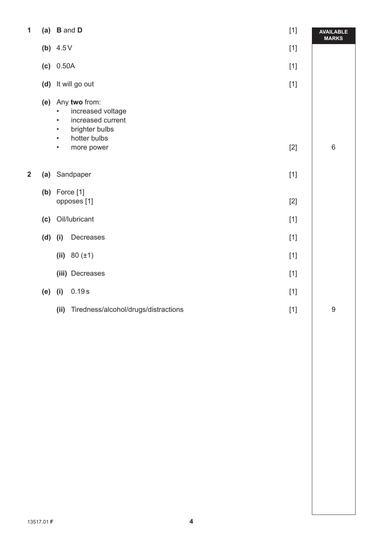| 1              | (a)       | <b>B</b> and <b>D</b><br>$[1]$                                                                                                                                           |       | <b>AVAILABLE</b><br><b>MARKS</b> |  |
|----------------|-----------|--------------------------------------------------------------------------------------------------------------------------------------------------------------------------|-------|----------------------------------|--|
|                |           | (b) $4.5V$                                                                                                                                                               | $[1]$ |                                  |  |
|                |           | (c) 0.50A                                                                                                                                                                | $[1]$ |                                  |  |
|                |           | (d) It will go out                                                                                                                                                       | $[1]$ |                                  |  |
|                | (e)       | Any two from:<br>increased voltage<br>$\bullet$<br>increased current<br>$\bullet$<br>brighter bulbs<br>$\bullet$<br>hotter bulbs<br>$\bullet$<br>more power<br>$\bullet$ | $[2]$ | $\,6\,$                          |  |
|                |           |                                                                                                                                                                          |       |                                  |  |
| $\overline{2}$ |           | (a) Sandpaper                                                                                                                                                            | $[1]$ |                                  |  |
|                |           | (b) Force $[1]$<br>opposes [1]                                                                                                                                           | $[2]$ |                                  |  |
|                | (c)       | Oil/lubricant                                                                                                                                                            | $[1]$ |                                  |  |
|                | $(d)$ (i) | Decreases                                                                                                                                                                | $[1]$ |                                  |  |
|                |           | (ii) $80 (\pm 1)$                                                                                                                                                        | $[1]$ |                                  |  |
|                |           | (iii) Decreases                                                                                                                                                          | $[1]$ |                                  |  |
|                | (e)       | 0.19s<br>(i)                                                                                                                                                             | $[1]$ |                                  |  |
|                |           | Tiredness/alcohol/drugs/distractions<br>(iii)                                                                                                                            | $[1]$ | $\boldsymbol{9}$                 |  |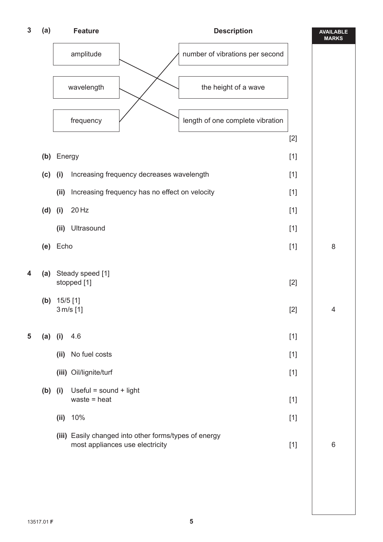| $\boldsymbol{3}$ | (a)       | <b>Description</b><br><b>Feature</b> |                                                                                          |                                  | <b>AVAILABLE</b><br><b>MARKS</b> |   |
|------------------|-----------|--------------------------------------|------------------------------------------------------------------------------------------|----------------------------------|----------------------------------|---|
|                  |           | amplitude                            |                                                                                          | number of vibrations per second  |                                  |   |
|                  |           |                                      | wavelength                                                                               | the height of a wave             |                                  |   |
|                  |           |                                      | frequency                                                                                | length of one complete vibration |                                  |   |
|                  |           |                                      |                                                                                          |                                  | $[2]$                            |   |
|                  |           | (b) Energy                           |                                                                                          |                                  | $[1]$                            |   |
|                  | (c)       | (i)                                  | Increasing frequency decreases wavelength                                                |                                  | $[1]$                            |   |
|                  |           | (ii)                                 | Increasing frequency has no effect on velocity                                           |                                  | $[1]$                            |   |
|                  | $(d)$ (i) |                                      | 20 Hz                                                                                    |                                  | $[1]$                            |   |
|                  |           | (ii)                                 | Ultrasound                                                                               |                                  | $[1]$                            |   |
|                  |           | (e) Echo                             |                                                                                          |                                  | $[1]$                            | 8 |
| 4                | (a)       | (b) $15/5$ [1]                       | Steady speed [1]<br>stopped [1]<br>3 m/s [1]                                             |                                  | $[2]$<br>$[2]$                   | 4 |
| 5                | (a)       | (i)                                  | 4.6                                                                                      |                                  | $[1]$                            |   |
|                  |           | (ii)                                 | No fuel costs                                                                            |                                  | $[1]$                            |   |
|                  |           |                                      | (iii) Oil/lignite/turf                                                                   |                                  | $[1]$                            |   |
|                  | (b)       | (i)                                  | Useful = sound + light<br>waste = $heat$                                                 |                                  | $[1]$                            |   |
|                  |           |                                      | (ii) $10%$                                                                               |                                  | $[1]$                            |   |
|                  |           |                                      | (iii) Easily changed into other forms/types of energy<br>most appliances use electricity |                                  | $[1]$                            | 6 |
|                  |           |                                      |                                                                                          |                                  |                                  |   |
|                  |           |                                      |                                                                                          |                                  |                                  |   |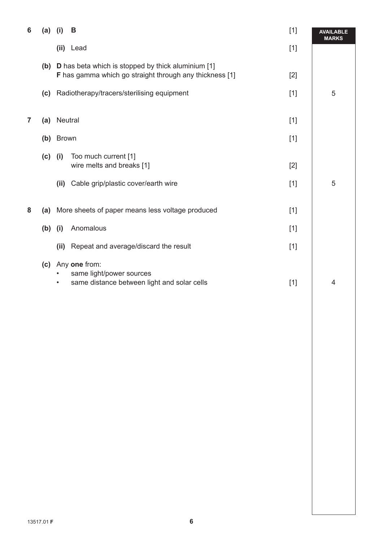| 6 | (a)       | B<br>(i)                       |                                                                                                                   | $[1]$ | <b>AVAILABLE</b><br><b>MARKS</b> |
|---|-----------|--------------------------------|-------------------------------------------------------------------------------------------------------------------|-------|----------------------------------|
|   |           | (ii) Lead                      |                                                                                                                   | $[1]$ |                                  |
|   |           |                                | (b) D has beta which is stopped by thick aluminium [1]<br>F has gamma which go straight through any thickness [1] | $[2]$ |                                  |
|   | (c)       |                                | Radiotherapy/tracers/sterilising equipment                                                                        | $[1]$ | 5                                |
| 7 | (a)       | Neutral                        |                                                                                                                   | $[1]$ |                                  |
|   |           |                                |                                                                                                                   |       |                                  |
|   | (b)       | <b>Brown</b>                   |                                                                                                                   | $[1]$ |                                  |
|   | $(c)$ (i) | Too much current [1]           | wire melts and breaks [1]                                                                                         | $[2]$ |                                  |
|   |           | (ii)                           | Cable grip/plastic cover/earth wire                                                                               | $[1]$ | 5                                |
| 8 |           |                                | (a) More sheets of paper means less voltage produced                                                              | $[1]$ |                                  |
|   | $(b)$ (i) | Anomalous                      |                                                                                                                   | $[1]$ |                                  |
|   |           | (ii)                           | Repeat and average/discard the result                                                                             | $[1]$ |                                  |
|   |           | (c) Any one from:<br>$\bullet$ | same light/power sources<br>same distance between light and solar cells                                           | $[1]$ | 4                                |
|   |           |                                |                                                                                                                   |       |                                  |